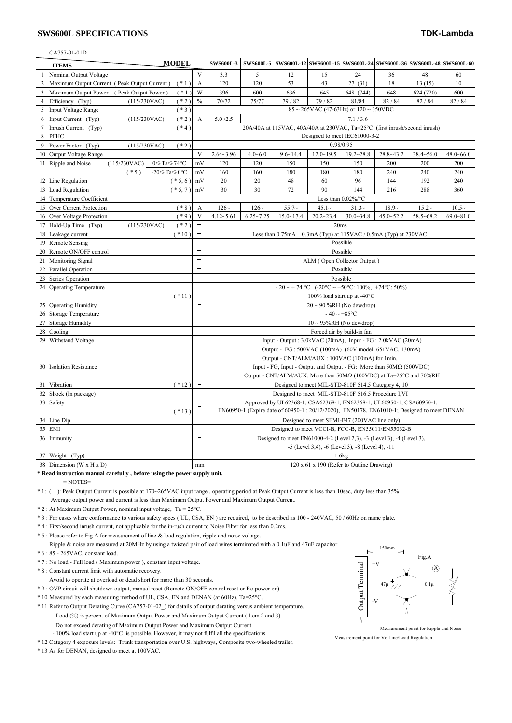## **SWS600L SPECIFICATIONS TDK-Lambda**

## CA757-01-01D

| <b>MODEL</b>   |                                                                          |                                                 | <b>SWS600L-3</b>                                                                           |               |               | SWS600L-5 SWS600L-12 SWS600L-15 SWS600L-24 SWS600L-36 SWS600L-48 SWS600L-60       |               |               |               |               |
|----------------|--------------------------------------------------------------------------|-------------------------------------------------|--------------------------------------------------------------------------------------------|---------------|---------------|-----------------------------------------------------------------------------------|---------------|---------------|---------------|---------------|
| $\mathbf{1}$   | <b>ITEMS</b>                                                             | V                                               |                                                                                            | 5             |               | 15                                                                                |               |               | 48            |               |
|                | Nominal Output Voltage                                                   |                                                 | 3.3                                                                                        |               | 12            |                                                                                   | 24            | 36            |               | 60            |
| $\overline{2}$ | Maximum Output Current (Peak Output Current)<br>$(* 1)$                  | A                                               | 120                                                                                        | 120           | 53            | 43                                                                                | 27 (31)       | 18            | 13(15)        | 10            |
| $\overline{3}$ | $(* 1)$<br>Maximum Output Power (Peak Output Power)                      | W                                               | 396                                                                                        | 600           | 636           | 645                                                                               | 648 (744)     | 648           | 624 (720)     | 600           |
| $\overline{4}$ | Efficiency (Typ)<br>(115/230VAC)<br>$(*2)$                               | $\frac{0}{0}$                                   | 70/72                                                                                      | 75/77         | 79/82         | 79/82                                                                             | 81/84         | 82 / 84       | 82 / 84       | 82 / 84       |
| 5              | $(*3)$<br><b>Input Voltage Range</b>                                     | $\overline{\phantom{0}}$                        | $85 \sim 265$ VAC (47-63Hz) or $120 \sim 350$ VDC                                          |               |               |                                                                                   |               |               |               |               |
| 6              | Input Current (Typ)<br>(115/230VAC)<br>$(* 2)$                           | $\boldsymbol{A}$                                | 5.0 / 2.5<br>7.1 / 3.6                                                                     |               |               |                                                                                   |               |               |               |               |
| $\overline{7}$ | $(*4)$<br>Inrush Current (Typ)                                           |                                                 | 20A/40A at 115VAC, 40A/40A at 230VAC, Ta=25°C (first inrush/second inrush)                 |               |               |                                                                                   |               |               |               |               |
| 8              | <b>PFHC</b>                                                              |                                                 | Designed to meet IEC61000-3-2                                                              |               |               |                                                                                   |               |               |               |               |
| 9              | Power Factor (Typ)<br>$(*2)$<br>(115/230VAC)                             |                                                 | 0.98/0.95                                                                                  |               |               |                                                                                   |               |               |               |               |
|                | 10 Output Voltage Range                                                  | V                                               | $2.64 - 3.96$                                                                              | $4.0 - 6.0$   | $9.6 - 14.4$  | $12.0 - 19.5$                                                                     | $19.2 - 28.8$ | $28.8 - 43.2$ | $38.4 - 56.0$ | $48.0 - 66.0$ |
|                | (115/230VAC)<br>$0 \leqslant$ Ta $\leqslant$ 74°C<br>11 Ripple and Noise | mV                                              | 120                                                                                        | 120           | 150           | 150                                                                               | 150           | 200           | 200           | 200           |
|                | $(* 5)$<br>-20 $\leq$ Ta $\leq$ 0°C                                      | mV                                              | 160                                                                                        | 160           | 180           | 180                                                                               | 180           | 240           | 240           | 240           |
|                | 12 Line Regulation<br>$(* 5, 6)$                                         | mV                                              | 20                                                                                         | 20            | 48            | 60                                                                                | 96            | 144           | 192           | 240           |
|                | 13 Load Regulation<br>$(* 5, 7)$                                         | mV                                              | 30<br>72<br>90<br>30<br>144<br>216<br>288<br>360                                           |               |               |                                                                                   |               |               |               |               |
|                | 14 Temperature Coefficient                                               | $\equiv$                                        | Less than $0.02\%$ /°C                                                                     |               |               |                                                                                   |               |               |               |               |
| 15             | Over Current Protection<br>$(* 8)$                                       | A                                               | $126-$                                                                                     | $126-$        | $55.7-$       | $45.1-$                                                                           | $31.3-$       | $18.9-$       | 15.2~         | $10.5-$       |
|                | $(*9)$<br>16 Over Voltage Protection                                     | V                                               | $4.12 - 5.61$                                                                              | $6.25 - 7.25$ | $15.0 - 17.4$ | $20.2 - 23.4$                                                                     | $30.0 - 34.8$ | $45.0 - 52.2$ | $58.5 - 68.2$ | $69.0 - 81.0$ |
|                | (115/230VAC)<br>$(* 2)$<br>17 Hold-Up Time (Typ)                         |                                                 | 20ms                                                                                       |               |               |                                                                                   |               |               |               |               |
|                | $(*10)$<br>18 Leakage current                                            |                                                 | Less than 0.75mA. 0.3mA (Typ) at 115VAC / 0.5mA (Typ) at 230VAC.                           |               |               |                                                                                   |               |               |               |               |
|                | 19 Remote Sensing                                                        | $\overline{\phantom{0}}$                        | Possible                                                                                   |               |               |                                                                                   |               |               |               |               |
| 20             | Remote ON/OFF control                                                    | $\overline{\phantom{a}}$                        | Possible                                                                                   |               |               |                                                                                   |               |               |               |               |
| 21             | <b>Monitoring Signal</b>                                                 | $\equiv$                                        | ALM (Open Collector Output)<br>Possible                                                    |               |               |                                                                                   |               |               |               |               |
| 22             | Parallel Operation                                                       | $\equiv$                                        |                                                                                            |               |               |                                                                                   |               |               |               |               |
|                | 23 Series Operation                                                      |                                                 | Possible                                                                                   |               |               |                                                                                   |               |               |               |               |
|                | 24 Operating Temperature<br>$(* 11)$                                     |                                                 | - 20 ~ + 74 °C (-20°C ~ +50°C: 100%, +74°C: 50%)<br>100% load start up at -40 $^{\circ}$ C |               |               |                                                                                   |               |               |               |               |
| 25             | <b>Operating Humidity</b>                                                |                                                 | $20 \sim 90$ %RH (No dewdrop)                                                              |               |               |                                                                                   |               |               |               |               |
|                | 26 Storage Temperature                                                   | $\equiv$                                        | $-40 \sim +85$ °C                                                                          |               |               |                                                                                   |               |               |               |               |
|                | 27 Storage Humidity                                                      | $\overline{\phantom{0}}$                        | $10 \sim 95\% RH$ (No dewdrop)                                                             |               |               |                                                                                   |               |               |               |               |
| 28             | Cooling                                                                  |                                                 | Forced air by build-in fan                                                                 |               |               |                                                                                   |               |               |               |               |
| 29             | Withstand Voltage                                                        |                                                 | Input - Output : 3.0kVAC (20mA), Input - FG : 2.0kVAC (20mA)                               |               |               |                                                                                   |               |               |               |               |
|                |                                                                          | $\overline{\phantom{0}}$                        | Output - FG : 500VAC (100mA) (60V model: 651VAC, 130mA)                                    |               |               |                                                                                   |               |               |               |               |
|                |                                                                          |                                                 | Output - CNT/ALM/AUX : 100VAC (100mA) for 1min.                                            |               |               |                                                                                   |               |               |               |               |
|                | 30 Isolation Resistance                                                  |                                                 |                                                                                            |               |               | Input - FG, Input - Output and Output - FG: More than $50\text{M}\Omega$ (500VDC) |               |               |               |               |
|                |                                                                          |                                                 |                                                                                            |               |               | Output - CNT/ALM/AUX: More than $50M\Omega$ (100VDC) at Ta=25°C and 70%RH         |               |               |               |               |
| 31             | $(* 12)$<br>Vibration                                                    | -                                               | Designed to meet MIL-STD-810F 514.5 Category 4, 10                                         |               |               |                                                                                   |               |               |               |               |
|                | 32 Shock (In package)                                                    |                                                 | Designed to meet MIL-STD-810F 516.5 Procedure I, VI                                        |               |               |                                                                                   |               |               |               |               |
|                | 33 Safety                                                                | $\overline{a}$                                  | Approved by UL62368-1, CSA62368-1, EN62368-1, UL60950-1, CSA60950-1,                       |               |               |                                                                                   |               |               |               |               |
|                | $(* 13)$                                                                 |                                                 | EN60950-1 (Expire date of 60950-1:20/12/2020), EN50178, EN61010-1; Designed to meet DENAN  |               |               |                                                                                   |               |               |               |               |
|                | 34 Line Dip                                                              |                                                 | Designed to meet SEMI-F47 (200VAC line only)                                               |               |               |                                                                                   |               |               |               |               |
| 35             | EMI                                                                      | $\overline{\phantom{0}}$                        | Designed to meet VCCI-B, FCC-B, EN55011/EN55032-B                                          |               |               |                                                                                   |               |               |               |               |
|                | 36 Immunity                                                              |                                                 | Designed to meet EN61000-4-2 (Level 2,3), -3 (Level 3), -4 (Level 3),                      |               |               |                                                                                   |               |               |               |               |
|                |                                                                          |                                                 | -5 (Level 3,4), -6 (Level 3), -8 (Level 4), -11                                            |               |               |                                                                                   |               |               |               |               |
|                | 37 Weight (Typ)                                                          |                                                 | 1.6kg                                                                                      |               |               |                                                                                   |               |               |               |               |
|                | 38 Dimension (W x H x D)                                                 | 120 x 61 x 190 (Refer to Outline Drawing)<br>mm |                                                                                            |               |               |                                                                                   |               |               |               |               |

**\* Read instruction manual carefully , before using the power supply unit.**

 $=$  NOTES=

\* 1: ( ): Peak Output Current is possible at 170~265VAC input range , operating period at Peak Output Current is less than 10sec, duty less than 35% . Average output power and current is less than Maximum Output Power and Maximum Output Current.

\* 2 : At Maximum Output Power, nominal input voltage, Ta = 25°C.

\* 3 : For cases where conformance to various safety specs ( UL, CSA, EN ) are required, to be described as 100 - 240VAC, 50 / 60Hz on name plate.

\* 4 : First/second inrush current, not applicable for the in-rush current to Noise Filter for less than 0.2ms.

\* 5 : Please refer to Fig A for measurement of line & load regulation, ripple and noise voltage.

Ripple & noise are measured at 20MHz by using a twisted pair of load wires terminated with a 0.1uF and 47uF capacitor.

\* 6 : 85 - 265VAC, constant load.

\* 7 : No load - Full load ( Maximum power ), constant input voltage.

\* 8 : Constant current limit with automatic recovery.

Avoid to operate at overload or dead short for more than 30 seconds.

\* 9 : OVP circuit will shutdown output, manual reset (Remote ON/OFF control reset or Re-power on).

\* 10 Measured by each measuring method of UL, CSA, EN and DENAN (at 60Hz), Ta=25°C.

\* 11 Refer to Output Derating Curve (CA757-01-02\_) for details of output derating versus ambient temperature. - Load (%) is percent of Maximum Output Power and Maximum Output Current ( Item 2 and 3).

Do not exceed derating of Maximum Output Power and Maximum Output Current.

- 100% load start up at -40°C is possible. However, it may not fulfil all the specifications.

\* 12 Category 4 exposure levels: Trunk transportation over U.S. highways, Composite two-wheeled trailer.

\* 13 As for DENAN, designed to meet at 100VAC.



Measurement point for Vo Line/Load Regulation